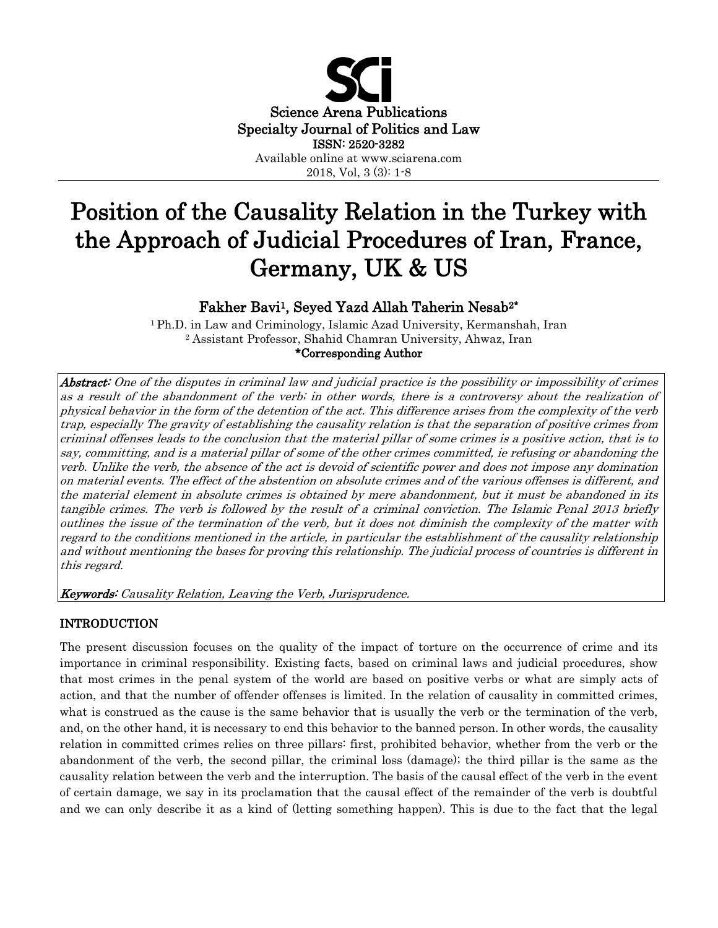

# Position of the Causality Relation in the Turkey with the Approach of Judicial Procedures of Iran, France, Germany, UK & US

# Fakher Bavi1, Seyed Yazd Allah Taherin Nesab2\*

<sup>1</sup> Ph.D. in Law and Criminology, Islamic Azad University, Kermanshah, Iran <sup>2</sup> Assistant Professor, Shahid Chamran University, Ahwaz, Iran \*Corresponding Author

Abstract: One of the disputes in criminal law and judicial practice is the possibility or impossibility of crimes as a result of the abandonment of the verb; in other words, there is a controversy about the realization of physical behavior in the form of the detention of the act. This difference arises from the complexity of the verb trap, especially The gravity of establishing the causality relation is that the separation of positive crimes from criminal offenses leads to the conclusion that the material pillar of some crimes is a positive action, that is to say, committing, and is a material pillar of some of the other crimes committed, ie refusing or abandoning the verb. Unlike the verb, the absence of the act is devoid of scientific power and does not impose any domination on material events. The effect of the abstention on absolute crimes and of the various offenses is different, and the material element in absolute crimes is obtained by mere abandonment, but it must be abandoned in its tangible crimes. The verb is followed by the result of a criminal conviction. The Islamic Penal 2013 briefly outlines the issue of the termination of the verb, but it does not diminish the complexity of the matter with regard to the conditions mentioned in the article, in particular the establishment of the causality relationship and without mentioning the bases for proving this relationship. The judicial process of countries is different in this regard.

Keywords: Causality Relation, Leaving the Verb, Jurisprudence.

# INTRODUCTION

The present discussion focuses on the quality of the impact of torture on the occurrence of crime and its importance in criminal responsibility. Existing facts, based on criminal laws and judicial procedures, show that most crimes in the penal system of the world are based on positive verbs or what are simply acts of action, and that the number of offender offenses is limited. In the relation of causality in committed crimes, what is construed as the cause is the same behavior that is usually the verb or the termination of the verb, and, on the other hand, it is necessary to end this behavior to the banned person. In other words, the causality relation in committed crimes relies on three pillars: first, prohibited behavior, whether from the verb or the abandonment of the verb, the second pillar, the criminal loss (damage); the third pillar is the same as the causality relation between the verb and the interruption. The basis of the causal effect of the verb in the event of certain damage, we say in its proclamation that the causal effect of the remainder of the verb is doubtful and we can only describe it as a kind of (letting something happen). This is due to the fact that the legal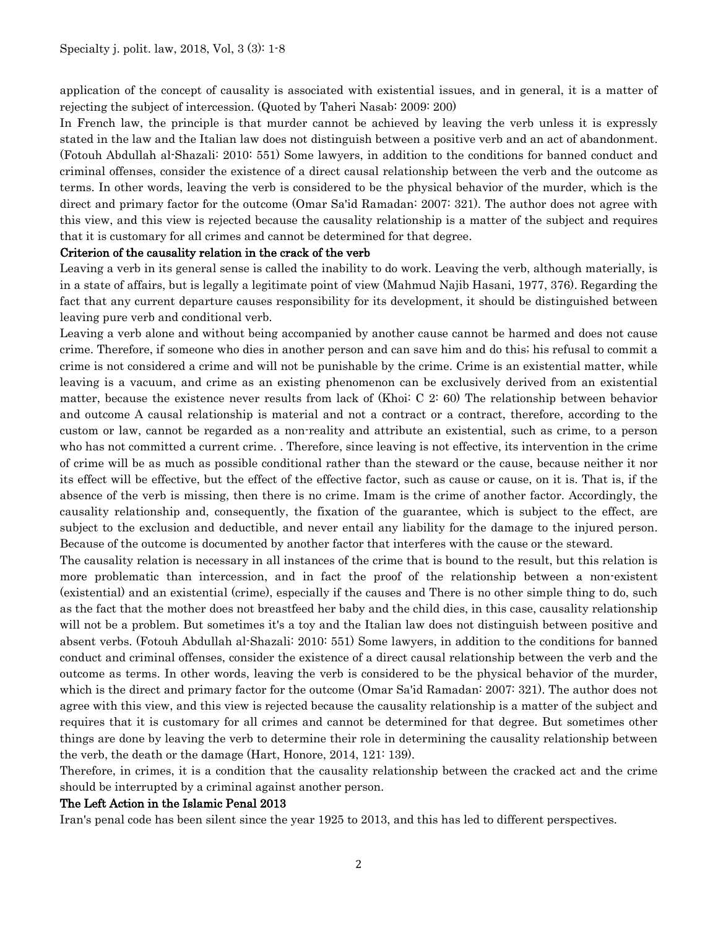application of the concept of causality is associated with existential issues, and in general, it is a matter of rejecting the subject of intercession. (Quoted by Taheri Nasab: 2009: 200)

In French law, the principle is that murder cannot be achieved by leaving the verb unless it is expressly stated in the law and the Italian law does not distinguish between a positive verb and an act of abandonment. (Fotouh Abdullah al-Shazali: 2010: 551) Some lawyers, in addition to the conditions for banned conduct and criminal offenses, consider the existence of a direct causal relationship between the verb and the outcome as terms. In other words, leaving the verb is considered to be the physical behavior of the murder, which is the direct and primary factor for the outcome (Omar Sa'id Ramadan: 2007: 321). The author does not agree with this view, and this view is rejected because the causality relationship is a matter of the subject and requires that it is customary for all crimes and cannot be determined for that degree.

#### Criterion of the causality relation in the crack of the verb

Leaving a verb in its general sense is called the inability to do work. Leaving the verb, although materially, is in a state of affairs, but is legally a legitimate point of view (Mahmud Najib Hasani, 1977, 376). Regarding the fact that any current departure causes responsibility for its development, it should be distinguished between leaving pure verb and conditional verb.

Leaving a verb alone and without being accompanied by another cause cannot be harmed and does not cause crime. Therefore, if someone who dies in another person and can save him and do this; his refusal to commit a crime is not considered a crime and will not be punishable by the crime. Crime is an existential matter, while leaving is a vacuum, and crime as an existing phenomenon can be exclusively derived from an existential matter, because the existence never results from lack of (Khoi: C 2: 60) The relationship between behavior and outcome A causal relationship is material and not a contract or a contract, therefore, according to the custom or law, cannot be regarded as a non-reality and attribute an existential, such as crime, to a person who has not committed a current crime. . Therefore, since leaving is not effective, its intervention in the crime of crime will be as much as possible conditional rather than the steward or the cause, because neither it nor its effect will be effective, but the effect of the effective factor, such as cause or cause, on it is. That is, if the absence of the verb is missing, then there is no crime. Imam is the crime of another factor. Accordingly, the causality relationship and, consequently, the fixation of the guarantee, which is subject to the effect, are subject to the exclusion and deductible, and never entail any liability for the damage to the injured person. Because of the outcome is documented by another factor that interferes with the cause or the steward.

The causality relation is necessary in all instances of the crime that is bound to the result, but this relation is more problematic than intercession, and in fact the proof of the relationship between a non-existent (existential) and an existential (crime), especially if the causes and There is no other simple thing to do, such as the fact that the mother does not breastfeed her baby and the child dies, in this case, causality relationship will not be a problem. But sometimes it's a toy and the Italian law does not distinguish between positive and absent verbs. (Fotouh Abdullah al-Shazali: 2010: 551) Some lawyers, in addition to the conditions for banned conduct and criminal offenses, consider the existence of a direct causal relationship between the verb and the outcome as terms. In other words, leaving the verb is considered to be the physical behavior of the murder, which is the direct and primary factor for the outcome (Omar Sa'id Ramadan: 2007: 321). The author does not agree with this view, and this view is rejected because the causality relationship is a matter of the subject and requires that it is customary for all crimes and cannot be determined for that degree. But sometimes other things are done by leaving the verb to determine their role in determining the causality relationship between the verb, the death or the damage (Hart, Honore, 2014, 121: 139).

Therefore, in crimes, it is a condition that the causality relationship between the cracked act and the crime should be interrupted by a criminal against another person.

#### The Left Action in the Islamic Penal 2013

Iran's penal code has been silent since the year 1925 to 2013, and this has led to different perspectives.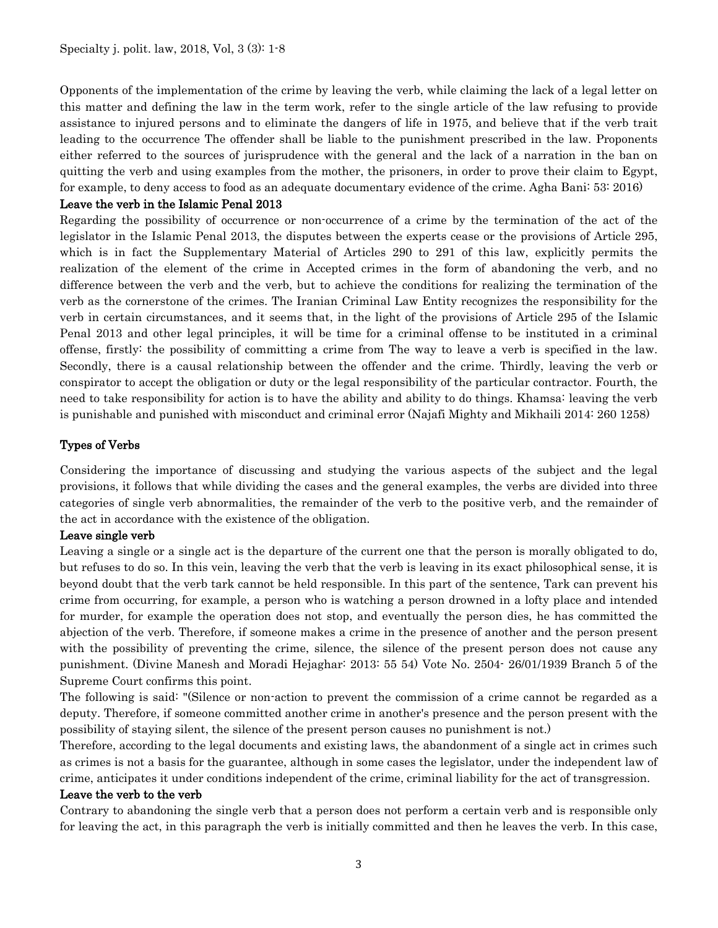Opponents of the implementation of the crime by leaving the verb, while claiming the lack of a legal letter on this matter and defining the law in the term work, refer to the single article of the law refusing to provide assistance to injured persons and to eliminate the dangers of life in 1975, and believe that if the verb trait leading to the occurrence The offender shall be liable to the punishment prescribed in the law. Proponents either referred to the sources of jurisprudence with the general and the lack of a narration in the ban on quitting the verb and using examples from the mother, the prisoners, in order to prove their claim to Egypt, for example, to deny access to food as an adequate documentary evidence of the crime. Agha Bani: 53: 2016)

### Leave the verb in the Islamic Penal 2013

Regarding the possibility of occurrence or non-occurrence of a crime by the termination of the act of the legislator in the Islamic Penal 2013, the disputes between the experts cease or the provisions of Article 295, which is in fact the Supplementary Material of Articles 290 to 291 of this law, explicitly permits the realization of the element of the crime in Accepted crimes in the form of abandoning the verb, and no difference between the verb and the verb, but to achieve the conditions for realizing the termination of the verb as the cornerstone of the crimes. The Iranian Criminal Law Entity recognizes the responsibility for the verb in certain circumstances, and it seems that, in the light of the provisions of Article 295 of the Islamic Penal 2013 and other legal principles, it will be time for a criminal offense to be instituted in a criminal offense, firstly: the possibility of committing a crime from The way to leave a verb is specified in the law. Secondly, there is a causal relationship between the offender and the crime. Thirdly, leaving the verb or conspirator to accept the obligation or duty or the legal responsibility of the particular contractor. Fourth, the need to take responsibility for action is to have the ability and ability to do things. Khamsa: leaving the verb is punishable and punished with misconduct and criminal error (Najafi Mighty and Mikhaili 2014: 260 1258)

# Types of Verbs

Considering the importance of discussing and studying the various aspects of the subject and the legal provisions, it follows that while dividing the cases and the general examples, the verbs are divided into three categories of single verb abnormalities, the remainder of the verb to the positive verb, and the remainder of the act in accordance with the existence of the obligation.

#### Leave single verb

Leaving a single or a single act is the departure of the current one that the person is morally obligated to do, but refuses to do so. In this vein, leaving the verb that the verb is leaving in its exact philosophical sense, it is beyond doubt that the verb tark cannot be held responsible. In this part of the sentence, Tark can prevent his crime from occurring, for example, a person who is watching a person drowned in a lofty place and intended for murder, for example the operation does not stop, and eventually the person dies, he has committed the abjection of the verb. Therefore, if someone makes a crime in the presence of another and the person present with the possibility of preventing the crime, silence, the silence of the present person does not cause any punishment. (Divine Manesh and Moradi Hejaghar: 2013: 55 54) Vote No. 2504- 26/01/1939 Branch 5 of the Supreme Court confirms this point.

The following is said: "(Silence or non-action to prevent the commission of a crime cannot be regarded as a deputy. Therefore, if someone committed another crime in another's presence and the person present with the possibility of staying silent, the silence of the present person causes no punishment is not.)

Therefore, according to the legal documents and existing laws, the abandonment of a single act in crimes such as crimes is not a basis for the guarantee, although in some cases the legislator, under the independent law of crime, anticipates it under conditions independent of the crime, criminal liability for the act of transgression.

#### Leave the verb to the verb

Contrary to abandoning the single verb that a person does not perform a certain verb and is responsible only for leaving the act, in this paragraph the verb is initially committed and then he leaves the verb. In this case,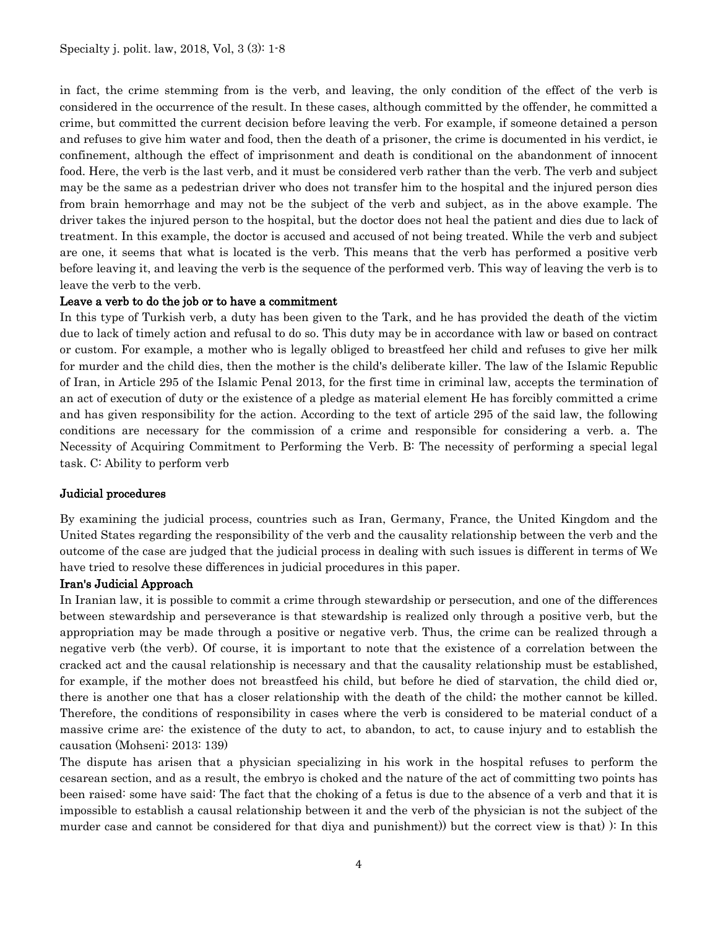in fact, the crime stemming from is the verb, and leaving, the only condition of the effect of the verb is considered in the occurrence of the result. In these cases, although committed by the offender, he committed a crime, but committed the current decision before leaving the verb. For example, if someone detained a person and refuses to give him water and food, then the death of a prisoner, the crime is documented in his verdict, ie confinement, although the effect of imprisonment and death is conditional on the abandonment of innocent food. Here, the verb is the last verb, and it must be considered verb rather than the verb. The verb and subject may be the same as a pedestrian driver who does not transfer him to the hospital and the injured person dies from brain hemorrhage and may not be the subject of the verb and subject, as in the above example. The driver takes the injured person to the hospital, but the doctor does not heal the patient and dies due to lack of treatment. In this example, the doctor is accused and accused of not being treated. While the verb and subject are one, it seems that what is located is the verb. This means that the verb has performed a positive verb before leaving it, and leaving the verb is the sequence of the performed verb. This way of leaving the verb is to leave the verb to the verb.

#### Leave a verb to do the job or to have a commitment

In this type of Turkish verb, a duty has been given to the Tark, and he has provided the death of the victim due to lack of timely action and refusal to do so. This duty may be in accordance with law or based on contract or custom. For example, a mother who is legally obliged to breastfeed her child and refuses to give her milk for murder and the child dies, then the mother is the child's deliberate killer. The law of the Islamic Republic of Iran, in Article 295 of the Islamic Penal 2013, for the first time in criminal law, accepts the termination of an act of execution of duty or the existence of a pledge as material element He has forcibly committed a crime and has given responsibility for the action. According to the text of article 295 of the said law, the following conditions are necessary for the commission of a crime and responsible for considering a verb. a. The Necessity of Acquiring Commitment to Performing the Verb. B: The necessity of performing a special legal task. C: Ability to perform verb

#### Judicial procedures

By examining the judicial process, countries such as Iran, Germany, France, the United Kingdom and the United States regarding the responsibility of the verb and the causality relationship between the verb and the outcome of the case are judged that the judicial process in dealing with such issues is different in terms of We have tried to resolve these differences in judicial procedures in this paper.

#### Iran's Judicial Approach

In Iranian law, it is possible to commit a crime through stewardship or persecution, and one of the differences between stewardship and perseverance is that stewardship is realized only through a positive verb, but the appropriation may be made through a positive or negative verb. Thus, the crime can be realized through a negative verb (the verb). Of course, it is important to note that the existence of a correlation between the cracked act and the causal relationship is necessary and that the causality relationship must be established, for example, if the mother does not breastfeed his child, but before he died of starvation, the child died or, there is another one that has a closer relationship with the death of the child; the mother cannot be killed. Therefore, the conditions of responsibility in cases where the verb is considered to be material conduct of a massive crime are: the existence of the duty to act, to abandon, to act, to cause injury and to establish the causation (Mohseni: 2013: 139)

The dispute has arisen that a physician specializing in his work in the hospital refuses to perform the cesarean section, and as a result, the embryo is choked and the nature of the act of committing two points has been raised: some have said: The fact that the choking of a fetus is due to the absence of a verb and that it is impossible to establish a causal relationship between it and the verb of the physician is not the subject of the murder case and cannot be considered for that diya and punishment)) but the correct view is that) ): In this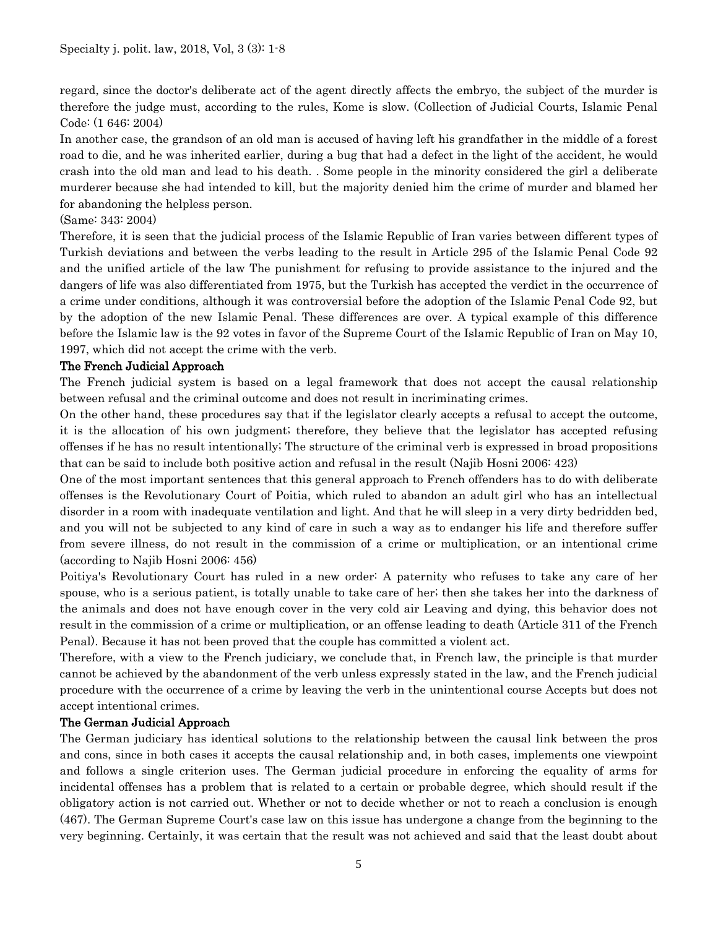regard, since the doctor's deliberate act of the agent directly affects the embryo, the subject of the murder is therefore the judge must, according to the rules, Kome is slow. (Collection of Judicial Courts, Islamic Penal Code: (1 646: 2004)

In another case, the grandson of an old man is accused of having left his grandfather in the middle of a forest road to die, and he was inherited earlier, during a bug that had a defect in the light of the accident, he would crash into the old man and lead to his death. . Some people in the minority considered the girl a deliberate murderer because she had intended to kill, but the majority denied him the crime of murder and blamed her for abandoning the helpless person.

# (Same: 343: 2004)

Therefore, it is seen that the judicial process of the Islamic Republic of Iran varies between different types of Turkish deviations and between the verbs leading to the result in Article 295 of the Islamic Penal Code 92 and the unified article of the law The punishment for refusing to provide assistance to the injured and the dangers of life was also differentiated from 1975, but the Turkish has accepted the verdict in the occurrence of a crime under conditions, although it was controversial before the adoption of the Islamic Penal Code 92, but by the adoption of the new Islamic Penal. These differences are over. A typical example of this difference before the Islamic law is the 92 votes in favor of the Supreme Court of the Islamic Republic of Iran on May 10, 1997, which did not accept the crime with the verb.

# The French Judicial Approach

The French judicial system is based on a legal framework that does not accept the causal relationship between refusal and the criminal outcome and does not result in incriminating crimes.

On the other hand, these procedures say that if the legislator clearly accepts a refusal to accept the outcome, it is the allocation of his own judgment; therefore, they believe that the legislator has accepted refusing offenses if he has no result intentionally; The structure of the criminal verb is expressed in broad propositions that can be said to include both positive action and refusal in the result (Najib Hosni 2006: 423)

One of the most important sentences that this general approach to French offenders has to do with deliberate offenses is the Revolutionary Court of Poitia, which ruled to abandon an adult girl who has an intellectual disorder in a room with inadequate ventilation and light. And that he will sleep in a very dirty bedridden bed, and you will not be subjected to any kind of care in such a way as to endanger his life and therefore suffer from severe illness, do not result in the commission of a crime or multiplication, or an intentional crime (according to Najib Hosni 2006: 456)

Poitiya's Revolutionary Court has ruled in a new order: A paternity who refuses to take any care of her spouse, who is a serious patient, is totally unable to take care of her; then she takes her into the darkness of the animals and does not have enough cover in the very cold air Leaving and dying, this behavior does not result in the commission of a crime or multiplication, or an offense leading to death (Article 311 of the French Penal). Because it has not been proved that the couple has committed a violent act.

Therefore, with a view to the French judiciary, we conclude that, in French law, the principle is that murder cannot be achieved by the abandonment of the verb unless expressly stated in the law, and the French judicial procedure with the occurrence of a crime by leaving the verb in the unintentional course Accepts but does not accept intentional crimes.

# The German Judicial Approach

The German judiciary has identical solutions to the relationship between the causal link between the pros and cons, since in both cases it accepts the causal relationship and, in both cases, implements one viewpoint and follows a single criterion uses. The German judicial procedure in enforcing the equality of arms for incidental offenses has a problem that is related to a certain or probable degree, which should result if the obligatory action is not carried out. Whether or not to decide whether or not to reach a conclusion is enough (467). The German Supreme Court's case law on this issue has undergone a change from the beginning to the very beginning. Certainly, it was certain that the result was not achieved and said that the least doubt about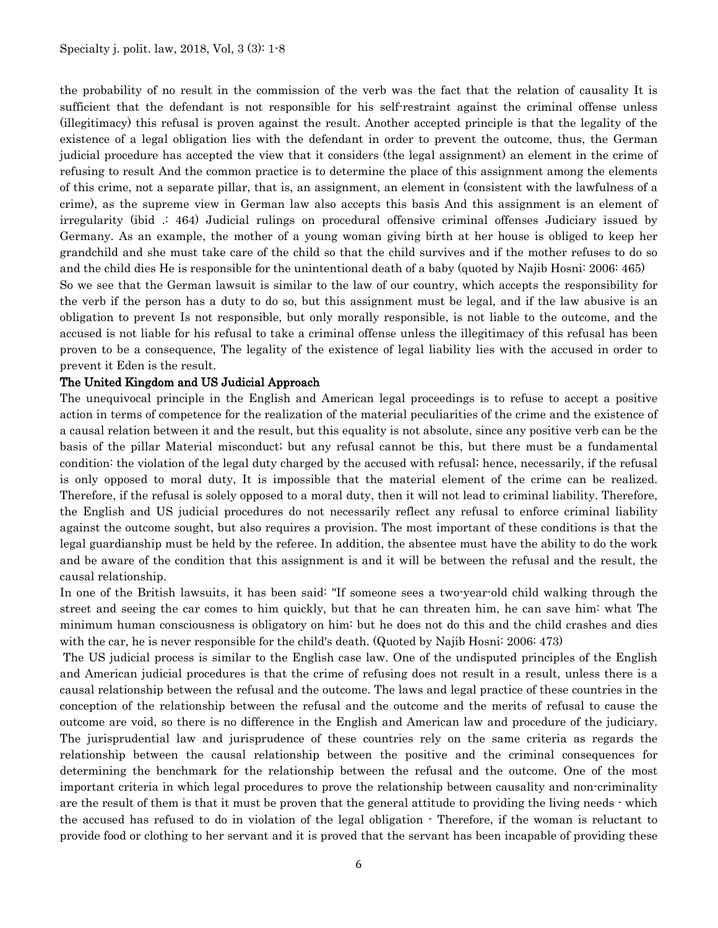the probability of no result in the commission of the verb was the fact that the relation of causality It is sufficient that the defendant is not responsible for his self-restraint against the criminal offense unless (illegitimacy) this refusal is proven against the result. Another accepted principle is that the legality of the existence of a legal obligation lies with the defendant in order to prevent the outcome, thus, the German judicial procedure has accepted the view that it considers (the legal assignment) an element in the crime of refusing to result And the common practice is to determine the place of this assignment among the elements of this crime, not a separate pillar, that is, an assignment, an element in (consistent with the lawfulness of a crime), as the supreme view in German law also accepts this basis And this assignment is an element of irregularity (ibid .: 464) Judicial rulings on procedural offensive criminal offenses Judiciary issued by Germany. As an example, the mother of a young woman giving birth at her house is obliged to keep her grandchild and she must take care of the child so that the child survives and if the mother refuses to do so and the child dies He is responsible for the unintentional death of a baby (quoted by Najib Hosni: 2006: 465)

So we see that the German lawsuit is similar to the law of our country, which accepts the responsibility for the verb if the person has a duty to do so, but this assignment must be legal, and if the law abusive is an obligation to prevent Is not responsible, but only morally responsible, is not liable to the outcome, and the accused is not liable for his refusal to take a criminal offense unless the illegitimacy of this refusal has been proven to be a consequence, The legality of the existence of legal liability lies with the accused in order to prevent it Eden is the result.

#### The United Kingdom and US Judicial Approach

The unequivocal principle in the English and American legal proceedings is to refuse to accept a positive action in terms of competence for the realization of the material peculiarities of the crime and the existence of a causal relation between it and the result, but this equality is not absolute, since any positive verb can be the basis of the pillar Material misconduct; but any refusal cannot be this, but there must be a fundamental condition: the violation of the legal duty charged by the accused with refusal; hence, necessarily, if the refusal is only opposed to moral duty, It is impossible that the material element of the crime can be realized. Therefore, if the refusal is solely opposed to a moral duty, then it will not lead to criminal liability. Therefore, the English and US judicial procedures do not necessarily reflect any refusal to enforce criminal liability against the outcome sought, but also requires a provision. The most important of these conditions is that the legal guardianship must be held by the referee. In addition, the absentee must have the ability to do the work and be aware of the condition that this assignment is and it will be between the refusal and the result, the causal relationship.

In one of the British lawsuits, it has been said: "If someone sees a two-year-old child walking through the street and seeing the car comes to him quickly, but that he can threaten him, he can save him: what The minimum human consciousness is obligatory on him: but he does not do this and the child crashes and dies with the car, he is never responsible for the child's death. (Quoted by Najib Hosni: 2006: 473)

The US judicial process is similar to the English case law. One of the undisputed principles of the English and American judicial procedures is that the crime of refusing does not result in a result, unless there is a causal relationship between the refusal and the outcome. The laws and legal practice of these countries in the conception of the relationship between the refusal and the outcome and the merits of refusal to cause the outcome are void, so there is no difference in the English and American law and procedure of the judiciary. The jurisprudential law and jurisprudence of these countries rely on the same criteria as regards the relationship between the causal relationship between the positive and the criminal consequences for determining the benchmark for the relationship between the refusal and the outcome. One of the most important criteria in which legal procedures to prove the relationship between causality and non-criminality are the result of them is that it must be proven that the general attitude to providing the living needs - which the accused has refused to do in violation of the legal obligation - Therefore, if the woman is reluctant to provide food or clothing to her servant and it is proved that the servant has been incapable of providing these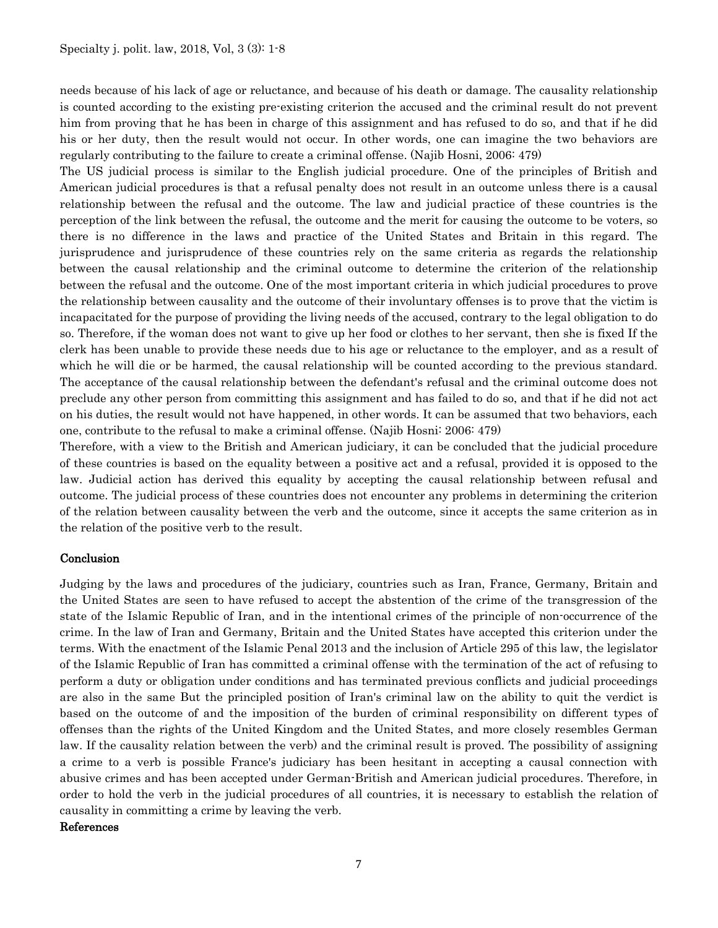needs because of his lack of age or reluctance, and because of his death or damage. The causality relationship is counted according to the existing pre-existing criterion the accused and the criminal result do not prevent him from proving that he has been in charge of this assignment and has refused to do so, and that if he did his or her duty, then the result would not occur. In other words, one can imagine the two behaviors are regularly contributing to the failure to create a criminal offense. (Najib Hosni, 2006: 479)

The US judicial process is similar to the English judicial procedure. One of the principles of British and American judicial procedures is that a refusal penalty does not result in an outcome unless there is a causal relationship between the refusal and the outcome. The law and judicial practice of these countries is the perception of the link between the refusal, the outcome and the merit for causing the outcome to be voters, so there is no difference in the laws and practice of the United States and Britain in this regard. The jurisprudence and jurisprudence of these countries rely on the same criteria as regards the relationship between the causal relationship and the criminal outcome to determine the criterion of the relationship between the refusal and the outcome. One of the most important criteria in which judicial procedures to prove the relationship between causality and the outcome of their involuntary offenses is to prove that the victim is incapacitated for the purpose of providing the living needs of the accused, contrary to the legal obligation to do so. Therefore, if the woman does not want to give up her food or clothes to her servant, then she is fixed If the clerk has been unable to provide these needs due to his age or reluctance to the employer, and as a result of which he will die or be harmed, the causal relationship will be counted according to the previous standard. The acceptance of the causal relationship between the defendant's refusal and the criminal outcome does not preclude any other person from committing this assignment and has failed to do so, and that if he did not act on his duties, the result would not have happened, in other words. It can be assumed that two behaviors, each one, contribute to the refusal to make a criminal offense. (Najib Hosni: 2006: 479)

Therefore, with a view to the British and American judiciary, it can be concluded that the judicial procedure of these countries is based on the equality between a positive act and a refusal, provided it is opposed to the law. Judicial action has derived this equality by accepting the causal relationship between refusal and outcome. The judicial process of these countries does not encounter any problems in determining the criterion of the relation between causality between the verb and the outcome, since it accepts the same criterion as in the relation of the positive verb to the result.

#### Conclusion

Judging by the laws and procedures of the judiciary, countries such as Iran, France, Germany, Britain and the United States are seen to have refused to accept the abstention of the crime of the transgression of the state of the Islamic Republic of Iran, and in the intentional crimes of the principle of non-occurrence of the crime. In the law of Iran and Germany, Britain and the United States have accepted this criterion under the terms. With the enactment of the Islamic Penal 2013 and the inclusion of Article 295 of this law, the legislator of the Islamic Republic of Iran has committed a criminal offense with the termination of the act of refusing to perform a duty or obligation under conditions and has terminated previous conflicts and judicial proceedings are also in the same But the principled position of Iran's criminal law on the ability to quit the verdict is based on the outcome of and the imposition of the burden of criminal responsibility on different types of offenses than the rights of the United Kingdom and the United States, and more closely resembles German law. If the causality relation between the verb) and the criminal result is proved. The possibility of assigning a crime to a verb is possible France's judiciary has been hesitant in accepting a causal connection with abusive crimes and has been accepted under German-British and American judicial procedures. Therefore, in order to hold the verb in the judicial procedures of all countries, it is necessary to establish the relation of causality in committing a crime by leaving the verb.

#### References